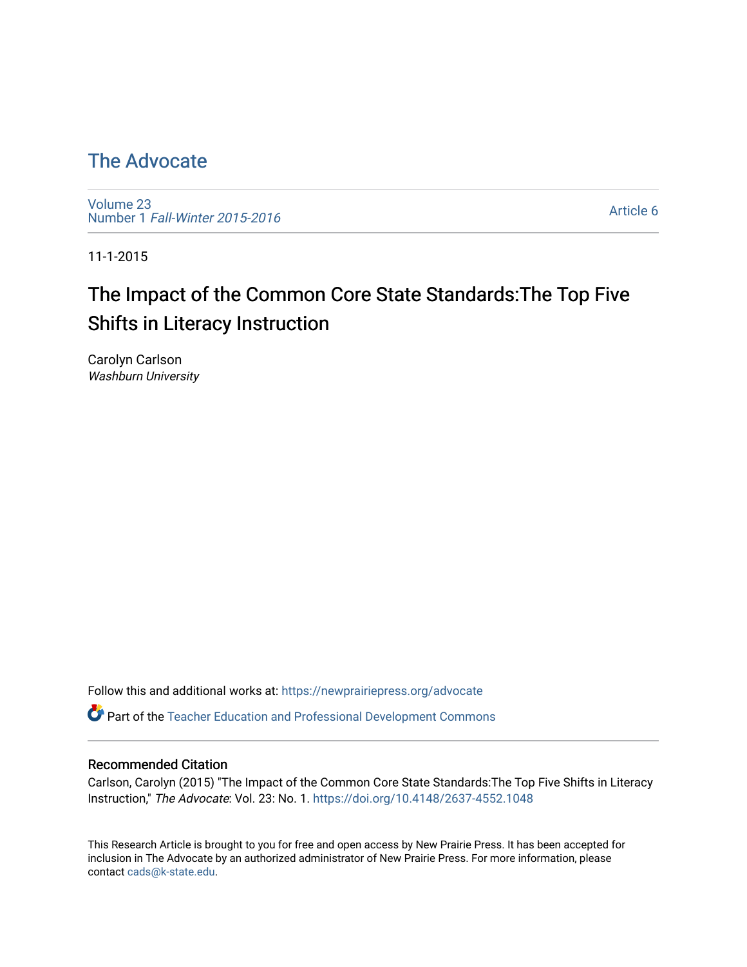## [The Advocate](https://newprairiepress.org/advocate)

[Volume 23](https://newprairiepress.org/advocate/vol23) Number 1 [Fall-Winter 2015-2016](https://newprairiepress.org/advocate/vol23/iss1) 

[Article 6](https://newprairiepress.org/advocate/vol23/iss1/6) 

11-1-2015

# The Impact of the Common Core State Standards:The Top Five Shifts in Literacy Instruction

Carolyn Carlson Washburn University

Follow this and additional works at: [https://newprairiepress.org/advocate](https://newprairiepress.org/advocate?utm_source=newprairiepress.org%2Fadvocate%2Fvol23%2Fiss1%2F6&utm_medium=PDF&utm_campaign=PDFCoverPages) 

Part of the [Teacher Education and Professional Development Commons](http://network.bepress.com/hgg/discipline/803?utm_source=newprairiepress.org%2Fadvocate%2Fvol23%2Fiss1%2F6&utm_medium=PDF&utm_campaign=PDFCoverPages) 

#### Recommended Citation

Carlson, Carolyn (2015) "The Impact of the Common Core State Standards:The Top Five Shifts in Literacy Instruction," The Advocate: Vol. 23: No. 1. <https://doi.org/10.4148/2637-4552.1048>

This Research Article is brought to you for free and open access by New Prairie Press. It has been accepted for inclusion in The Advocate by an authorized administrator of New Prairie Press. For more information, please contact [cads@k-state.edu](mailto:cads@k-state.edu).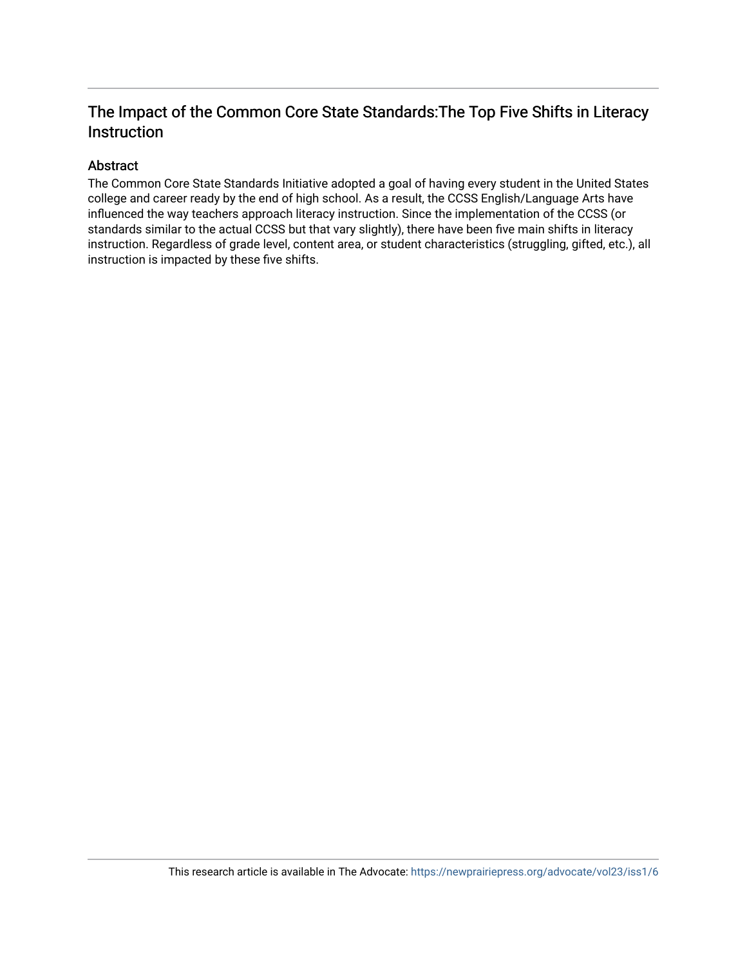## The Impact of the Common Core State Standards:The Top Five Shifts in Literacy Instruction

#### Abstract

The Common Core State Standards Initiative adopted a goal of having every student in the United States college and career ready by the end of high school. As a result, the CCSS English/Language Arts have influenced the way teachers approach literacy instruction. Since the implementation of the CCSS (or standards similar to the actual CCSS but that vary slightly), there have been five main shifts in literacy instruction. Regardless of grade level, content area, or student characteristics (struggling, gifted, etc.), all instruction is impacted by these five shifts.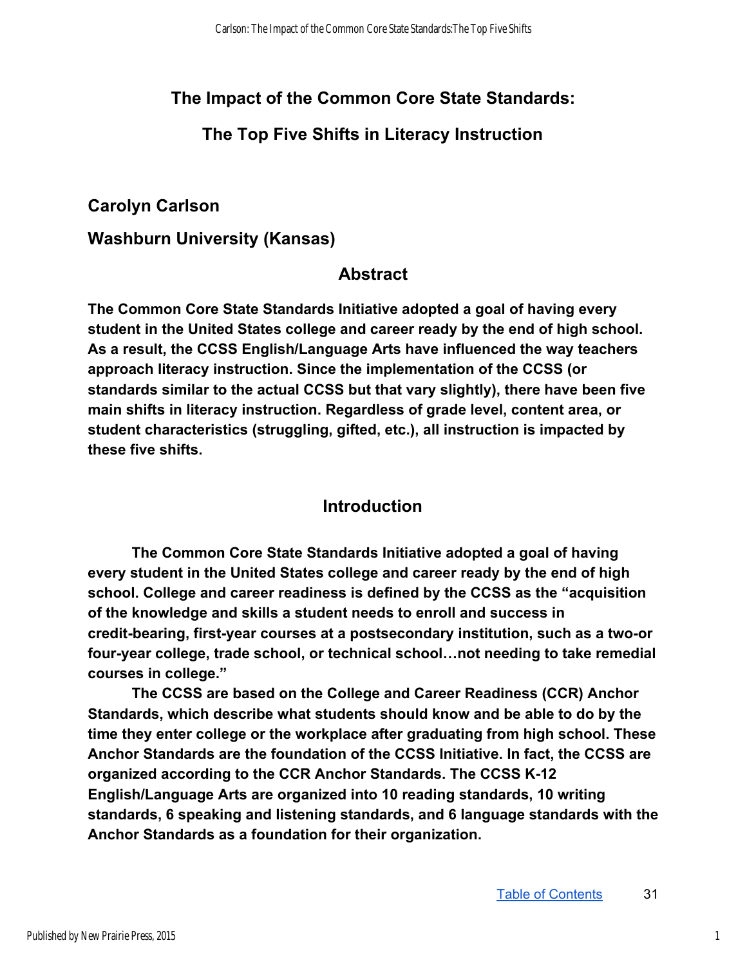## **The Impact of the Common Core State Standards:**

#### **The Top Five Shifts in Literacy Instruction**

#### **Carolyn Carlson**

**Washburn University (Kansas)**

#### **Abstract**

**The Common Core State Standards Initiative adopted a goal of having every student in the United States college and career ready by the end of high school. As a result, the CCSS English/Language Arts have influenced the way teachers approach literacy instruction. Since the implementation of the CCSS (or standards similar to the actual CCSS but that vary slightly), there have been five main shifts in literacy instruction. Regardless of grade level, content area, or student characteristics (struggling, gifted, etc.), all instruction is impacted by these five shifts.** 

#### **Introduction**

**The Common Core State Standards Initiative adopted a goal of having every student in the United States college and career ready by the end of high school. College and career readiness is defined by the CCSS as the "acquisition of the knowledge and skills a student needs to enroll and success in**  credit-bearing, first-year courses at a postsecondary institution, such as a two-or **fouryear college, trade school, or technical school…not needing to take remedial courses in college."** 

**The CCSS are based on the College and Career Readiness (CCR) Anchor Standards, which describe what students should know and be able to do by the time they enter college or the workplace after graduating from high school. These Anchor Standards are the foundation of the CCSS Initiative. In fact, the CCSS are organized according to the CCR Anchor Standards. The CCSS K12 English/Language Arts are organized into 10 reading standards, 10 writing standards, 6 speaking and listening standards, and 6 language standards with the Anchor Standards as a foundation for their organization.**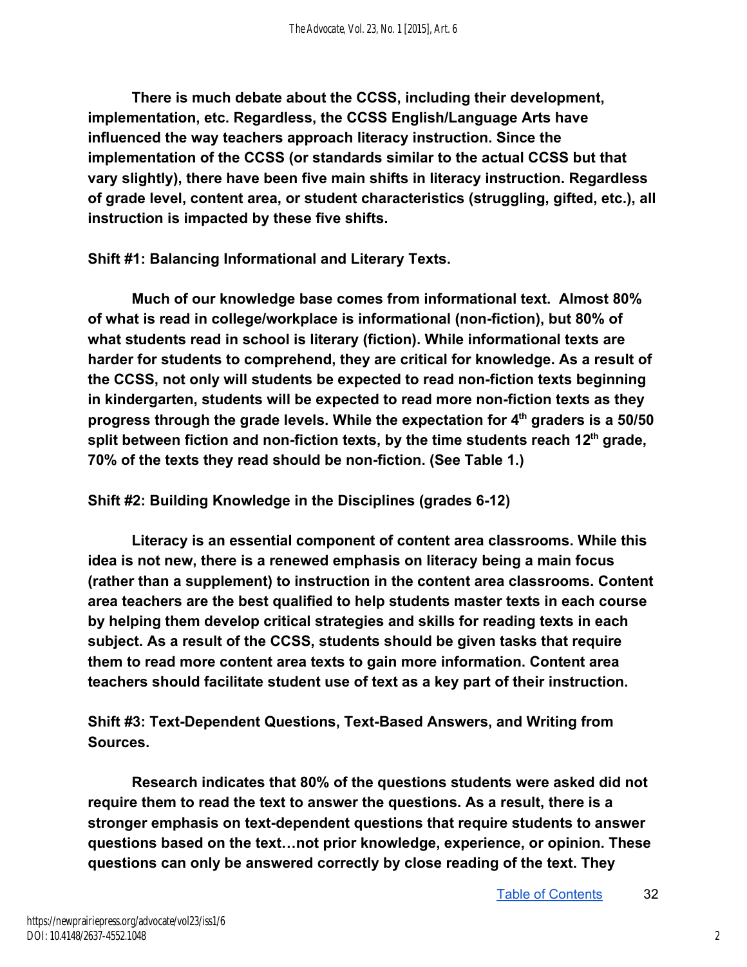**There is much debate about the CCSS, including their development, implementation, etc. Regardless, the CCSS English/Language Arts have influenced the way teachers approach literacy instruction. Since the implementation of the CCSS (or standards similar to the actual CCSS but that vary slightly), there have been five main shifts in literacy instruction. Regardless of grade level, content area, or student characteristics (struggling, gifted, etc.), all instruction is impacted by these five shifts.** 

**Shift #1: Balancing Informational and Literary Texts.** 

**Much of our knowledge base comes from informational text. Almost 80% of what is read in college/workplace is informational (nonfiction), but 80% of what students read in school is literary (fiction). While informational texts are harder for students to comprehend, they are critical for knowledge. As a result of**  the CCSS, not only will students be expected to read non-fiction texts beginning **in kindergarten, students will be expected to read more nonfiction texts as they progress through the grade levels. While the expectation for 4th graders is a 50/50 split between fiction and non-fiction texts, by the time students reach 12<sup>th</sup> grade,** 70% of the texts they read should be non-fiction. (See Table 1.)

**Shift #2: Building Knowledge in the Disciplines (grades 612)** 

**Literacy is an essential component of content area classrooms. While this idea is not new, there is a renewed emphasis on literacy being a main focus (rather than a supplement) to instruction in the content area classrooms. Content area teachers are the best qualified to help students master texts in each course by helping them develop critical strategies and skills for reading texts in each subject. As a result of the CCSS, students should be given tasks that require them to read more content area texts to gain more information. Content area teachers should facilitate student use of text as a key part of their instruction.** 

**Shift #3: Text-Dependent Questions, Text-Based Answers, and Writing from Sources.** 

**Research indicates that 80% of the questions students were asked did not require them to read the text to answer the questions. As a result, there is a**  stronger emphasis on text-dependent questions that require students to answer **questions based on the text…not prior knowledge, experience, or opinion. These questions can only be answered correctly by close reading of the text. They**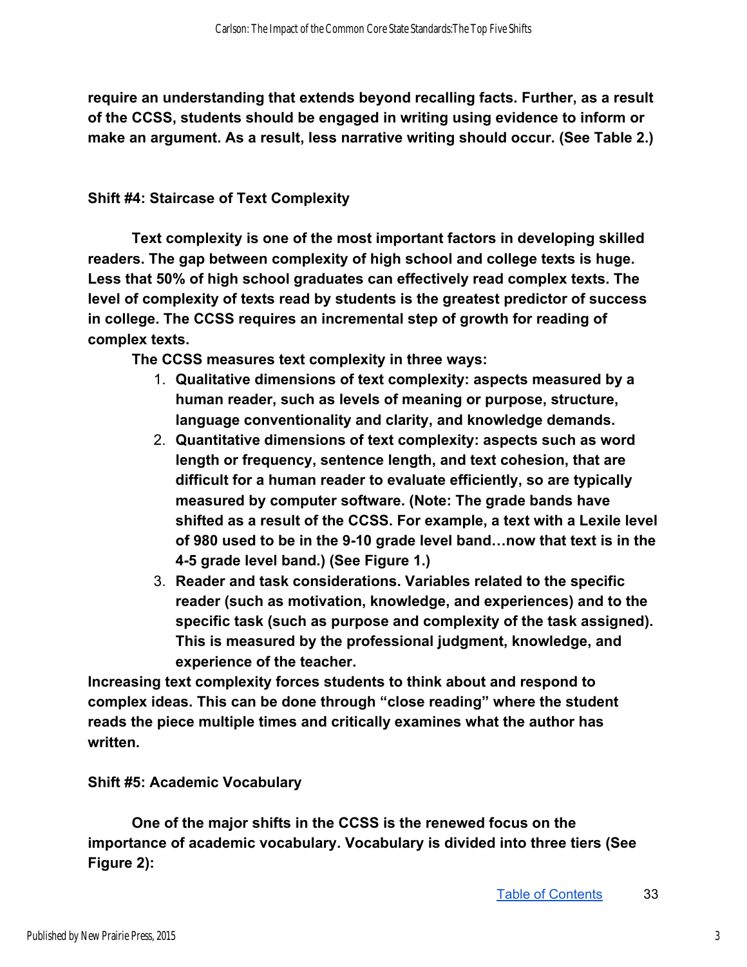**require an understanding that extends beyond recalling facts. Further, as a result of the CCSS, students should be engaged in writing using evidence to inform or make an argument. As a result, less narrative writing should occur. (See Table 2.)** 

#### **Shift #4: Staircase of Text Complexity**

**Text complexity is one of the most important factors in developing skilled readers. The gap between complexity of high school and college texts is huge. Less that 50% of high school graduates can effectively read complex texts. The level of complexity of texts read by students is the greatest predictor of success in college. The CCSS requires an incremental step of growth for reading of complex texts.** 

**The CCSS measures text complexity in three ways:** 

- 1. **Qualitative dimensions of text complexity: aspects measured by a human reader, such as levels of meaning or purpose, structure, language conventionality and clarity, and knowledge demands.**
- 2. **Quantitative dimensions of text complexity: aspects such as word length or frequency, sentence length, and text cohesion, that are difficult for a human reader to evaluate efficiently, so are typically measured by computer software. (Note: The grade bands have shifted as a result of the CCSS. For example, a text with a Lexile level of 980 used to be in the 910 grade level band…now that text is in the 45 grade level band.) (See Figure 1.)**
- 3. **Reader and task considerations. Variables related to the specific reader (such as motivation, knowledge, and experiences) and to the specific task (such as purpose and complexity of the task assigned). This is measured by the professional judgment, knowledge, and experience of the teacher.**

**Increasing text complexity forces students to think about and respond to complex ideas. This can be done through "close reading" where the student reads the piece multiple times and critically examines what the author has written.** 

#### **Shift #5: Academic Vocabulary**

**One of the major shifts in the CCSS is the renewed focus on the importance of academic vocabulary. Vocabulary is divided into three tiers (See Figure 2):**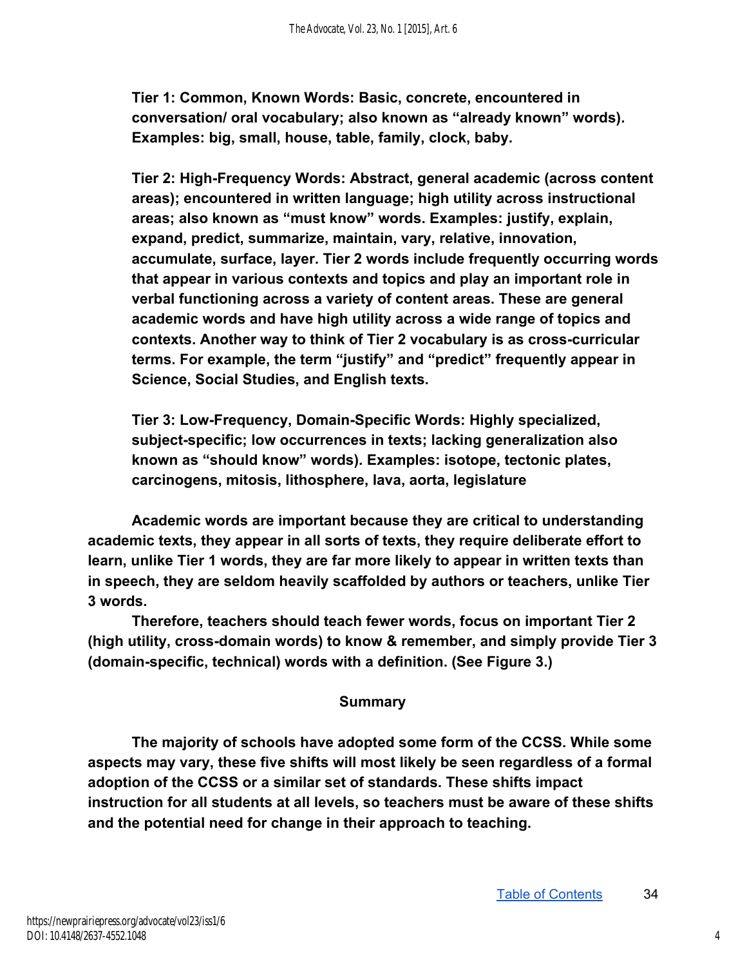**Tier 1: Common, Known Words: Basic, concrete, encountered in conversation/ oral vocabulary; also known as "already known" words). Examples: big, small, house, table, family, clock, baby.** 

**Tier 2: HighFrequency Words: Abstract, general academic (across content areas); encountered in written language; high utility across instructional areas; also known as "must know" words. Examples: justify, explain, expand, predict, summarize, maintain, vary, relative, innovation, accumulate, surface, layer. Tier 2 words include frequently occurring words that appear in various contexts and topics and play an important role in verbal functioning across a variety of content areas. These are general academic words and have high utility across a wide range of topics and contexts. Another way to think of Tier 2 vocabulary is as crosscurricular terms. For example, the term "justify" and "predict" frequently appear in Science, Social Studies, and English texts.** 

Tier 3: Low-Frequency, Domain-Specific Words: Highly specialized, subject-specific; low occurrences in texts; lacking generalization also **known as "should know" words). Examples: isotope, tectonic plates, carcinogens, mitosis, lithosphere, lava, aorta, legislature** 

**Academic words are important because they are critical to understanding academic texts, they appear in all sorts of texts, they require deliberate effort to learn, unlike Tier 1 words, they are far more likely to appear in written texts than in speech, they are seldom heavily scaffolded by authors or teachers, unlike Tier 3 words.** 

**Therefore, teachers should teach fewer words, focus on important Tier 2 (high utility, crossdomain words) to know & remember, and simply provide Tier 3 (domainspecific, technical) words with a definition. (See Figure 3.)** 

#### **Summary**

**The majority of schools have adopted some form of the CCSS. While some aspects may vary, these five shifts will most likely be seen regardless of a formal adoption of the CCSS or a similar set of standards. These shifts impact instruction for all students at all levels, so teachers must be aware of these shifts and the potential need for change in their approach to teaching.**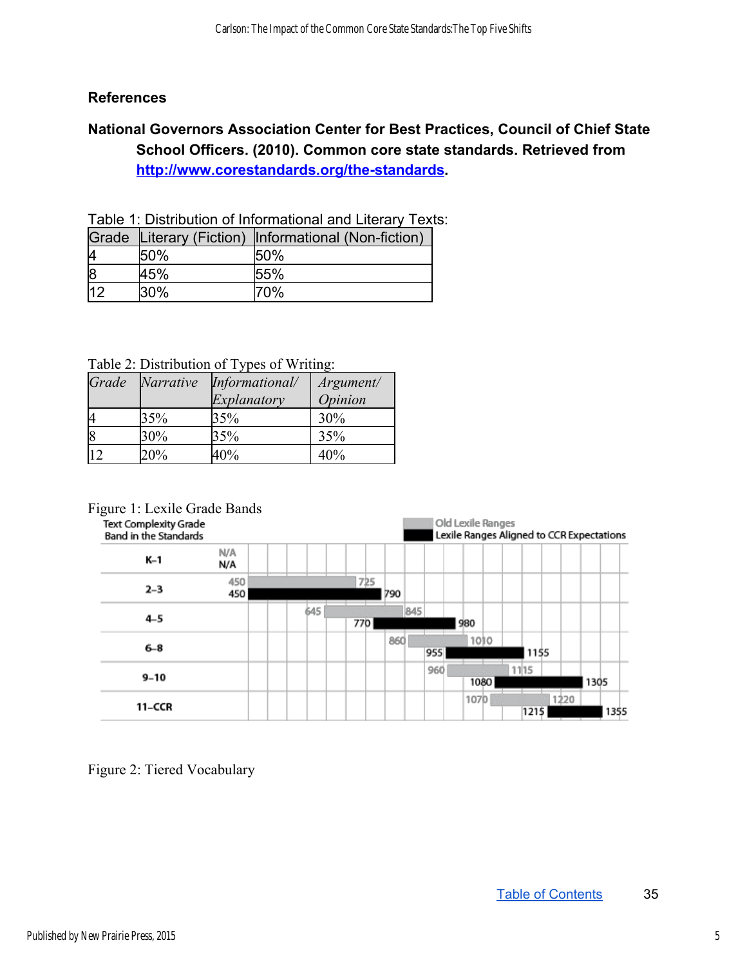#### **References**

#### **National Governors Association Center for Best Practices, Council of Chief State School Officers. (2010). Common core state standards. Retrieved from http://www.corestandards.org/the-standards.**

Table 1: Distribution of Informational and Literary Texts:

|    |         | Grade Literary (Fiction) Informational (Non-fiction) |
|----|---------|------------------------------------------------------|
|    | 50%     | 50%                                                  |
|    | 45%     | 55%                                                  |
| 12 | $130\%$ | 70%                                                  |

Table 2: Distribution of Types of Writing:

| Grade | Narrative | Informational/ | Argument/      |
|-------|-----------|----------------|----------------|
|       |           | Explanatory    | <i>Opinion</i> |
|       | 35%       | 35%            | 30%            |
|       | 30%       | 35%            | 35%            |
|       | 20%       | 40%            | 40%            |

Figure 1: Lexile Grade Bands<br>Text Complexity Grade

Old Lexile Ranges Band in the Standards Lexile Ranges Aligned to CCR Expectations N/A K-1 N/A 450 725  $2 - 3$ 450 1790 645 845  $4 - 5$ 770 980 860 1010  $6 - 8$ 955 1155 960 1115  $9 - 10$ 1305 1080 107<sub>b</sub> 1220 11-CCR  $1215$ 1355

Figure 2: Tiered Vocabulary